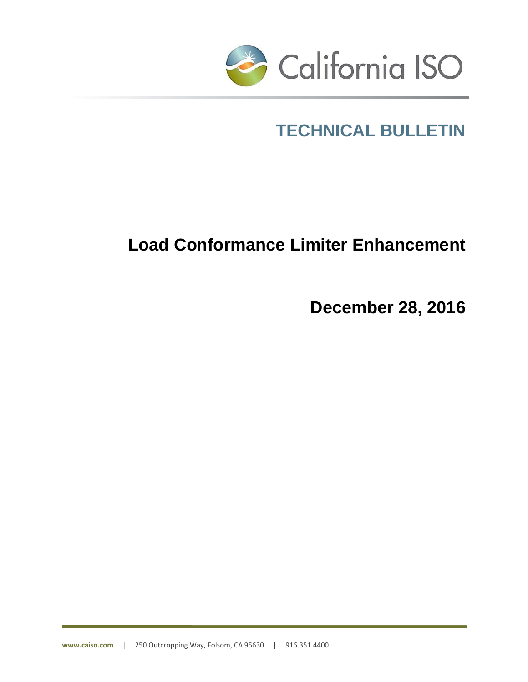

# **TECHNICAL BULLETIN**

# **Load Conformance Limiter Enhancement**

**December 28, 2016**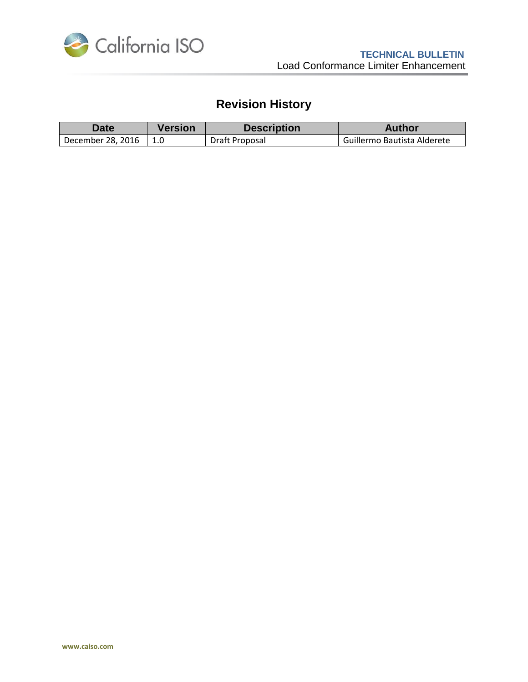

# **Revision History**

| $\Delta$ ate      | Version | <b>Description</b> | <b>Author</b>               |
|-------------------|---------|--------------------|-----------------------------|
| December 28, 2016 |         | Draft Proposal     | Guillermo Bautista Alderete |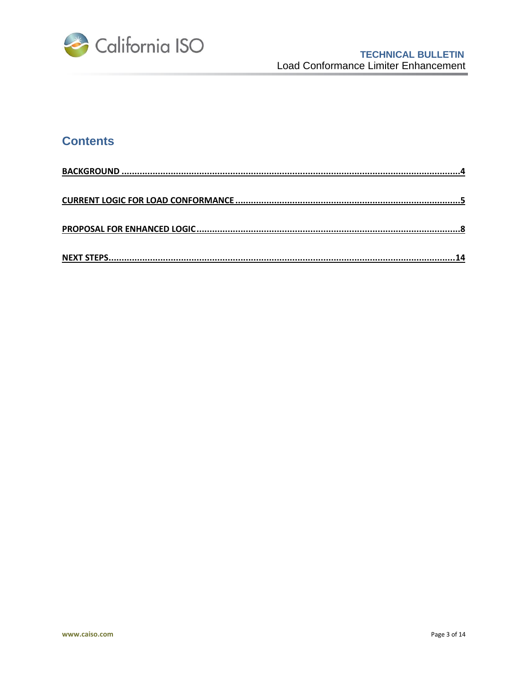

# **Contents**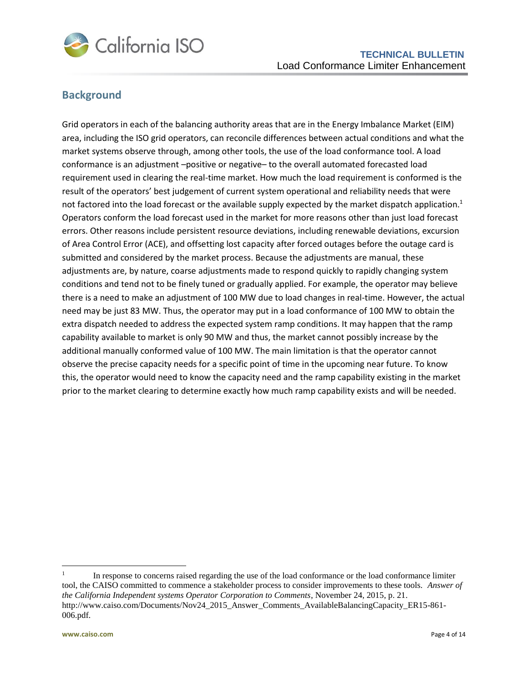

## <span id="page-3-0"></span>**Background**

Grid operators in each of the balancing authority areas that are in the Energy Imbalance Market (EIM) area, including the ISO grid operators, can reconcile differences between actual conditions and what the market systems observe through, among other tools, the use of the load conformance tool. A load conformance is an adjustment –positive or negative– to the overall automated forecasted load requirement used in clearing the real-time market. How much the load requirement is conformed is the result of the operators' best judgement of current system operational and reliability needs that were not factored into the load forecast or the available supply expected by the market dispatch application.<sup>1</sup> Operators conform the load forecast used in the market for more reasons other than just load forecast errors. Other reasons include persistent resource deviations, including renewable deviations, excursion of Area Control Error (ACE), and offsetting lost capacity after forced outages before the outage card is submitted and considered by the market process. Because the adjustments are manual, these adjustments are, by nature, coarse adjustments made to respond quickly to rapidly changing system conditions and tend not to be finely tuned or gradually applied. For example, the operator may believe there is a need to make an adjustment of 100 MW due to load changes in real-time. However, the actual need may be just 83 MW. Thus, the operator may put in a load conformance of 100 MW to obtain the extra dispatch needed to address the expected system ramp conditions. It may happen that the ramp capability available to market is only 90 MW and thus, the market cannot possibly increase by the additional manually conformed value of 100 MW. The main limitation is that the operator cannot observe the precise capacity needs for a specific point of time in the upcoming near future. To know this, the operator would need to know the capacity need and the ramp capability existing in the market prior to the market clearing to determine exactly how much ramp capability exists and will be needed.

 $\overline{a}$ 

<sup>1</sup> In response to concerns raised regarding the use of the load conformance or the load conformance limiter tool, the CAISO committed to commence a stakeholder process to consider improvements to these tools. *Answer of the California Independent systems Operator Corporation to Comments*, November 24, 2015, p. 21. http://www.caiso.com/Documents/Nov24\_2015\_Answer\_Comments\_AvailableBalancingCapacity\_ER15-861-006.pdf.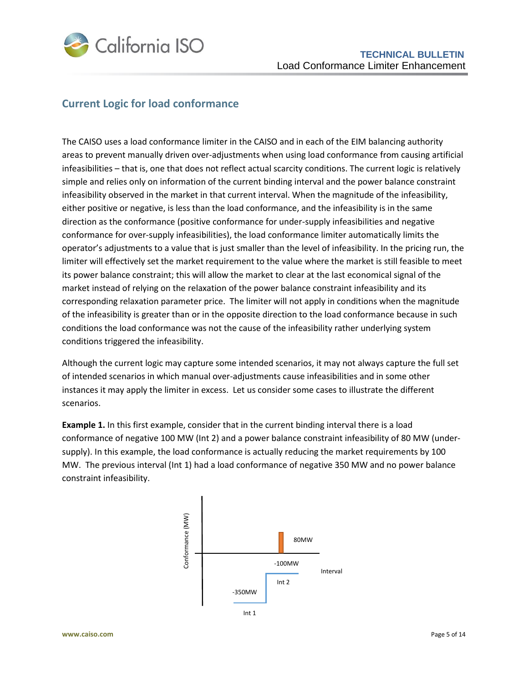

### <span id="page-4-0"></span>**Current Logic for load conformance**

The CAISO uses a load conformance limiter in the CAISO and in each of the EIM balancing authority areas to prevent manually driven over-adjustments when using load conformance from causing artificial infeasibilities – that is, one that does not reflect actual scarcity conditions. The current logic is relatively simple and relies only on information of the current binding interval and the power balance constraint infeasibility observed in the market in that current interval. When the magnitude of the infeasibility, either positive or negative, is less than the load conformance, and the infeasibility is in the same direction as the conformance (positive conformance for under-supply infeasibilities and negative conformance for over-supply infeasibilities), the load conformance limiter automatically limits the operator's adjustments to a value that is just smaller than the level of infeasibility. In the pricing run, the limiter will effectively set the market requirement to the value where the market is still feasible to meet its power balance constraint; this will allow the market to clear at the last economical signal of the market instead of relying on the relaxation of the power balance constraint infeasibility and its corresponding relaxation parameter price. The limiter will not apply in conditions when the magnitude of the infeasibility is greater than or in the opposite direction to the load conformance because in such conditions the load conformance was not the cause of the infeasibility rather underlying system conditions triggered the infeasibility.

Although the current logic may capture some intended scenarios, it may not always capture the full set of intended scenarios in which manual over-adjustments cause infeasibilities and in some other instances it may apply the limiter in excess. Let us consider some cases to illustrate the different scenarios.

**Example 1.** In this first example, consider that in the current binding interval there is a load conformance of negative 100 MW (Int 2) and a power balance constraint infeasibility of 80 MW (undersupply). In this example, the load conformance is actually reducing the market requirements by 100 MW. The previous interval (Int 1) had a load conformance of negative 350 MW and no power balance constraint infeasibility.

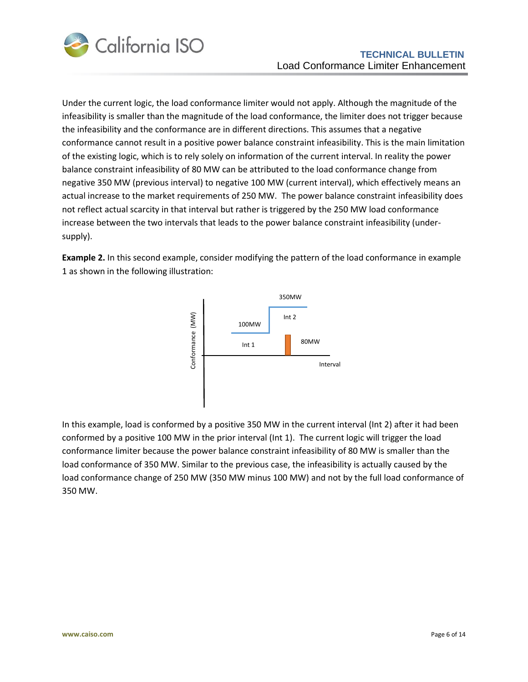

Under the current logic, the load conformance limiter would not apply. Although the magnitude of the infeasibility is smaller than the magnitude of the load conformance, the limiter does not trigger because the infeasibility and the conformance are in different directions. This assumes that a negative conformance cannot result in a positive power balance constraint infeasibility. This is the main limitation of the existing logic, which is to rely solely on information of the current interval. In reality the power balance constraint infeasibility of 80 MW can be attributed to the load conformance change from negative 350 MW (previous interval) to negative 100 MW (current interval), which effectively means an actual increase to the market requirements of 250 MW. The power balance constraint infeasibility does not reflect actual scarcity in that interval but rather is triggered by the 250 MW load conformance increase between the two intervals that leads to the power balance constraint infeasibility (undersupply).

**Example 2.** In this second example, consider modifying the pattern of the load conformance in example 1 as shown in the following illustration:



In this example, load is conformed by a positive 350 MW in the current interval (Int 2) after it had been conformed by a positive 100 MW in the prior interval (Int 1). The current logic will trigger the load conformance limiter because the power balance constraint infeasibility of 80 MW is smaller than the load conformance of 350 MW. Similar to the previous case, the infeasibility is actually caused by the load conformance change of 250 MW (350 MW minus 100 MW) and not by the full load conformance of 350 MW.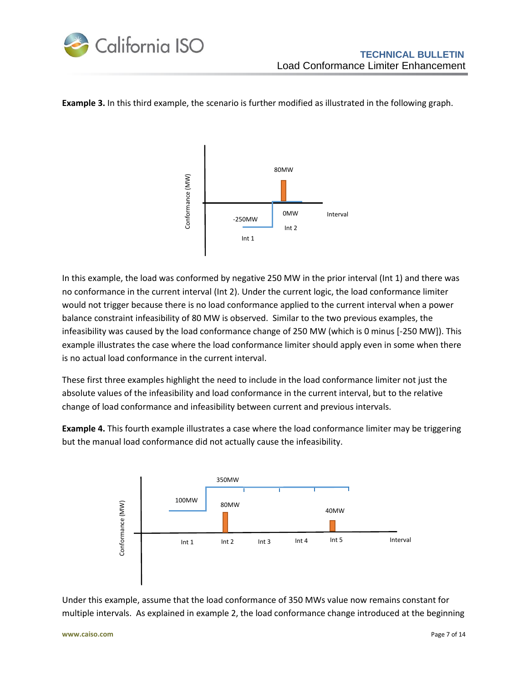

#### **Example 3.** In this third example, the scenario is further modified as illustrated in the following graph.



In this example, the load was conformed by negative 250 MW in the prior interval (Int 1) and there was no conformance in the current interval (Int 2). Under the current logic, the load conformance limiter would not trigger because there is no load conformance applied to the current interval when a power balance constraint infeasibility of 80 MW is observed. Similar to the two previous examples, the infeasibility was caused by the load conformance change of 250 MW (which is 0 minus [-250 MW]). This example illustrates the case where the load conformance limiter should apply even in some when there is no actual load conformance in the current interval.

These first three examples highlight the need to include in the load conformance limiter not just the absolute values of the infeasibility and load conformance in the current interval, but to the relative change of load conformance and infeasibility between current and previous intervals.

**Example 4.** This fourth example illustrates a case where the load conformance limiter may be triggering but the manual load conformance did not actually cause the infeasibility.



Under this example, assume that the load conformance of 350 MWs value now remains constant for multiple intervals. As explained in example 2, the load conformance change introduced at the beginning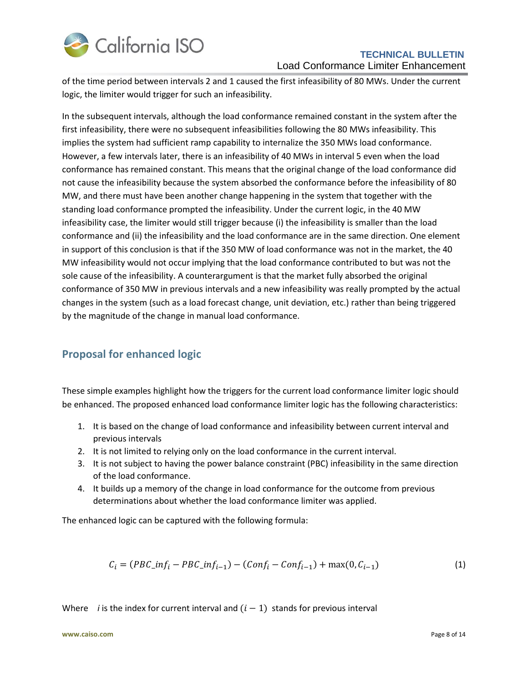

#### **TECHNICAL BULLETIN** Load Conformance Limiter Enhancement

of the time period between intervals 2 and 1 caused the first infeasibility of 80 MWs. Under the current logic, the limiter would trigger for such an infeasibility.

In the subsequent intervals, although the load conformance remained constant in the system after the first infeasibility, there were no subsequent infeasibilities following the 80 MWs infeasibility. This implies the system had sufficient ramp capability to internalize the 350 MWs load conformance. However, a few intervals later, there is an infeasibility of 40 MWs in interval 5 even when the load conformance has remained constant. This means that the original change of the load conformance did not cause the infeasibility because the system absorbed the conformance before the infeasibility of 80 MW, and there must have been another change happening in the system that together with the standing load conformance prompted the infeasibility. Under the current logic, in the 40 MW infeasibility case, the limiter would still trigger because (i) the infeasibility is smaller than the load conformance and (ii) the infeasibility and the load conformance are in the same direction. One element in support of this conclusion is that if the 350 MW of load conformance was not in the market, the 40 MW infeasibility would not occur implying that the load conformance contributed to but was not the sole cause of the infeasibility. A counterargument is that the market fully absorbed the original conformance of 350 MW in previous intervals and a new infeasibility was really prompted by the actual changes in the system (such as a load forecast change, unit deviation, etc.) rather than being triggered by the magnitude of the change in manual load conformance.

## <span id="page-7-0"></span>**Proposal for enhanced logic**

These simple examples highlight how the triggers for the current load conformance limiter logic should be enhanced. The proposed enhanced load conformance limiter logic has the following characteristics:

- 1. It is based on the change of load conformance and infeasibility between current interval and previous intervals
- 2. It is not limited to relying only on the load conformance in the current interval.
- 3. It is not subject to having the power balance constraint (PBC) infeasibility in the same direction of the load conformance.
- 4. It builds up a memory of the change in load conformance for the outcome from previous determinations about whether the load conformance limiter was applied.

The enhanced logic can be captured with the following formula:

$$
C_i = (PBC\_inf_i - PBC\_inf_{i-1}) - (Conf_i - Conf_{i-1}) + \max(0, C_{i-1})
$$
\n(1)

Where *i* is the index for current interval and  $(i - 1)$  stands for previous interval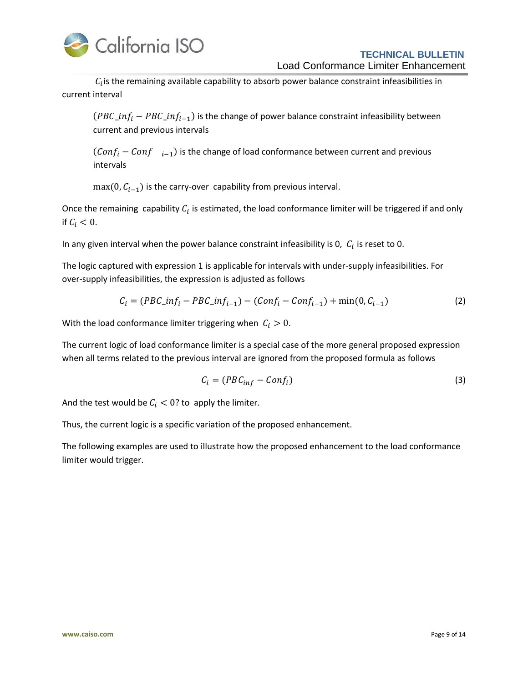

#### **TECHNICAL BULLETIN** Load Conformance Limiter Enhancement

 $C_i$  is the remaining available capability to absorb power balance constraint infeasibilities in current interval

 $(PBC\_inf_i - PBC\_inf_{i-1})$  is the change of power balance constraint infeasibility between current and previous intervals

 $(Conf_i - Conf_{i-1})$  is the change of load conformance between current and previous intervals

 $max(0, C_{i-1})$  is the carry-over capability from previous interval.

Once the remaining capability  $C_i$  is estimated, the load conformance limiter will be triggered if and only if  $C_i < 0$ .

In any given interval when the power balance constraint infeasibility is 0,  $|C_i|$  is reset to 0.

The logic captured with expression 1 is applicable for intervals with under-supply infeasibilities. For over-supply infeasibilities, the expression is adjusted as follows

$$
C_i = (PBC\_inf_i - PBC\_inf_{i-1}) - (Conf_i - Conf_{i-1}) + \min(0, C_{i-1})
$$
\n(2)

With the load conformance limiter triggering when  $C_i > 0$ .

The current logic of load conformance limiter is a special case of the more general proposed expression when all terms related to the previous interval are ignored from the proposed formula as follows

$$
C_i = (PBC_{inf} - Conf_i)
$$
 (3)

And the test would be  $C_i < 0$ ? to apply the limiter.

Thus, the current logic is a specific variation of the proposed enhancement.

The following examples are used to illustrate how the proposed enhancement to the load conformance limiter would trigger.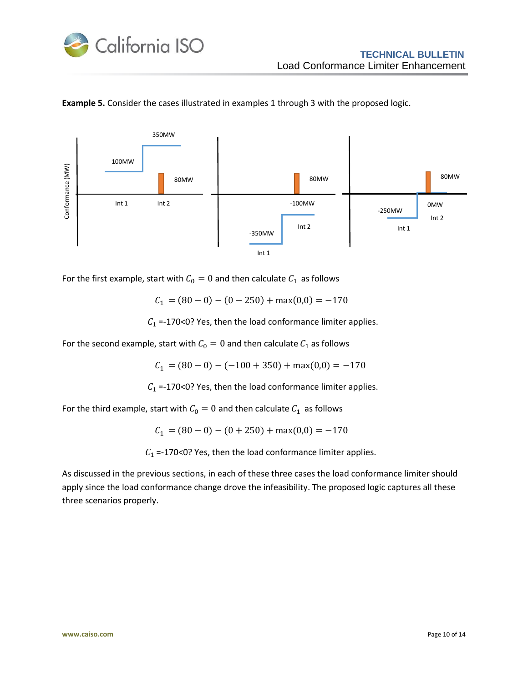



**Example 5.** Consider the cases illustrated in examples 1 through 3 with the proposed logic.

For the first example, start with  $C_0 = 0$  and then calculate  $C_1$  as follows

$$
C_1 = (80 - 0) - (0 - 250) + \max(0,0) = -170
$$

 $C_1$  =-170<0? Yes, then the load conformance limiter applies.

For the second example, start with  $C_0 = 0$  and then calculate  $C_1$  as follows

 $C_1 = (80 - 0) - (-100 + 350) + \max(0,0) = -170$ 

 $C_1$  =-170<0? Yes, then the load conformance limiter applies.

For the third example, start with  $C_0 = 0$  and then calculate  $C_1$  as follows

 $C_1 = (80 - 0) - (0 + 250) + \max(0,0) = -170$ 

 $C_1$  =-170<0? Yes, then the load conformance limiter applies.

As discussed in the previous sections, in each of these three cases the load conformance limiter should apply since the load conformance change drove the infeasibility. The proposed logic captures all these three scenarios properly.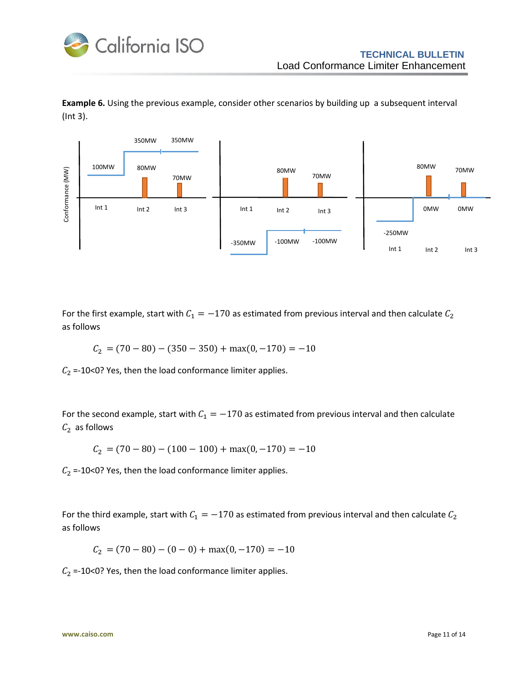

**Example 6.** Using the previous example, consider other scenarios by building up a subsequent interval (Int 3).



For the first example, start with  $C_1 = -170$  as estimated from previous interval and then calculate  $C_2$ as follows

 $C_2 = (70 - 80) - (350 - 350) + \max(0, -170) = -10$ 

 $C_2$  =-10<0? Yes, then the load conformance limiter applies.

For the second example, start with  $C_1 = -170$  as estimated from previous interval and then calculate  $C_2$  as follows

$$
C_2 = (70 - 80) - (100 - 100) + \max(0, -170) = -10
$$

 $C_2$  =-10<0? Yes, then the load conformance limiter applies.

For the third example, start with  $C_1 = -170$  as estimated from previous interval and then calculate  $C_2$ as follows

 $C_2 = (70 - 80) - (0 - 0) + \max(0, -170) = -10$ 

 $C_2$  =-10<0? Yes, then the load conformance limiter applies.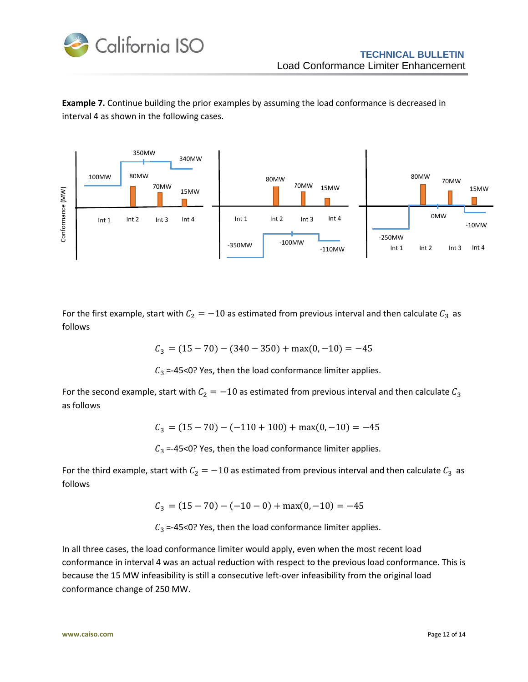

**Example 7.** Continue building the prior examples by assuming the load conformance is decreased in interval 4 as shown in the following cases.



For the first example, start with  $C_2 = -10$  as estimated from previous interval and then calculate  $C_3$  as follows

 $C_3 = (15 - 70) - (340 - 350) + \max(0, -10) = -45$ 

 $C_3$  =-45<0? Yes, then the load conformance limiter applies.

For the second example, start with  $C_2 = -10$  as estimated from previous interval and then calculate  $C_3$ as follows

$$
C_3 = (15 - 70) - (-110 + 100) + \max(0, -10) = -45
$$

 $C_3$  =-45<0? Yes, then the load conformance limiter applies.

For the third example, start with  $C_2 = -10$  as estimated from previous interval and then calculate  $C_3$  as follows

 $C_3 = (15 - 70) - (-10 - 0) + \max(0, -10) = -45$ 

 $C_3$  =-45<0? Yes, then the load conformance limiter applies.

In all three cases, the load conformance limiter would apply, even when the most recent load conformance in interval 4 was an actual reduction with respect to the previous load conformance. This is because the 15 MW infeasibility is still a consecutive left-over infeasibility from the original load conformance change of 250 MW.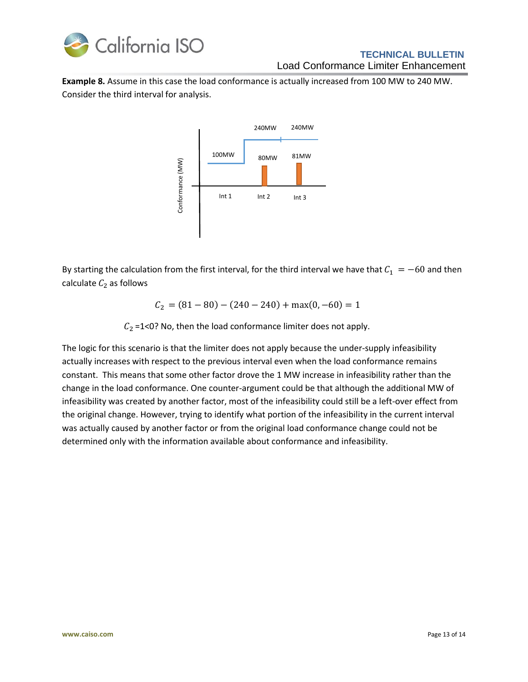

### **TECHNICAL BULLETIN** Load Conformance Limiter Enhancement

**Example 8.** Assume in this case the load conformance is actually increased from 100 MW to 240 MW. Consider the third interval for analysis.



By starting the calculation from the first interval, for the third interval we have that  $C_1 = -60$  and then calculate  $C_2$  as follows

 $C_2 = (81 - 80) - (240 - 240) + \max(0, -60) = 1$ 

 $C_2$  =1<0? No, then the load conformance limiter does not apply.

The logic for this scenario is that the limiter does not apply because the under-supply infeasibility actually increases with respect to the previous interval even when the load conformance remains constant. This means that some other factor drove the 1 MW increase in infeasibility rather than the change in the load conformance. One counter-argument could be that although the additional MW of infeasibility was created by another factor, most of the infeasibility could still be a left-over effect from the original change. However, trying to identify what portion of the infeasibility in the current interval was actually caused by another factor or from the original load conformance change could not be determined only with the information available about conformance and infeasibility.